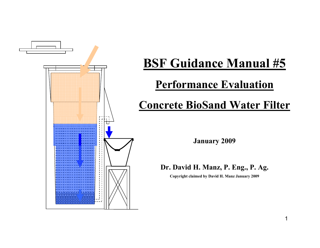

# **BSF Guidance Manual #5**

## **Performance Evaluation**

## **Concrete BioSand Water Filter**

**January 2009**

**Dr. David H. Manz, P. Eng., P. Ag.**

**Copyright claimed by David H. Manz January 2009**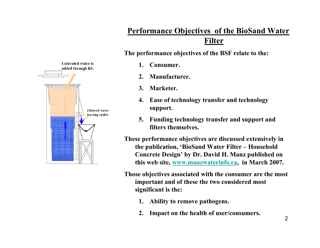# **Untreated water is** added through lid. **Filtered water** leaving outlet.

## **Performance Objectives of the BioSand Water Filter**

**The performance objectives of the BSF relate to the:**

- **1. Consumer.**
- **2. Manufacturer.**
- **3. Marketer.**
- **4. Ease of technology transfer and technology support.**
- **5. Funding technology transfer and support and filters themselves.**

**These performance objectives are discussed extensively in the publication, 'BioSand Water Filter – Household Concrete Design' by Dr. David H. Manz published on this web site, www.manzwaterinfo.ca, in March 2007.**

**Those objectives associated with the consumer are the most important and of these the two considered most significant is the:**

- **1. Ability to remove pathogens.**
- **2. Impact on the health of user/consumers.**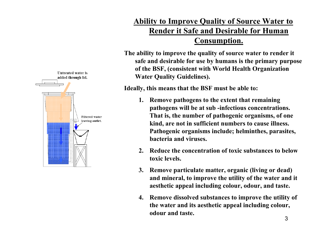

## **Ability to Improve Quality of Source Water to Render it Safe and Desirable for Human Consumption.**

**The ability to improve the quality of source water to render it safe and desirable for use by humans is the primary purpose of the BSF, (consistent with World Health Organization Water Quality Guidelines).** 

**Ideally, this means that the BSF must be able to:**

- **1. Remove pathogens to the extent that remaining pathogens will be at sub -infectious concentrations. That is, the number of pathogenic organisms, of one kind, are not in sufficient numbers to cause illness. Pathogenic organisms include; helminthes, parasites, bacteria and viruses.**
- **2. Reduce the concentration of toxic substances to below toxic levels.**
- **3. Remove particulate matter, organic (living or dead) and mineral, to improve the utility of the water and it aesthetic appeal including colour, odour, and taste.**
- **4. Remove dissolved substances to improve the utility of the water and its aesthetic appeal including colour, odour and taste.**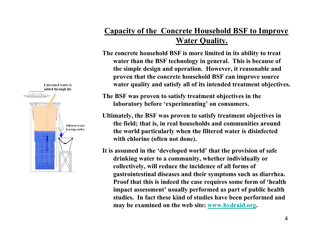## **Capacity of the Concrete Household BSF to Improve Water Quality.**

**The concrete household BSF is more limited in its ability to treat water than the BSF technology in general. This is because of the simple design and operation. However, it reasonable and proven that the concrete household BSF can improve source water quality and satisfy all of its intended treatment objectives.**

**The BSF was proven to satisfy treatment objectives in the laboratory before 'experimenting' on consumers.**

**Ultimately, the BSF was proven to satisfy treatment objectives in the field; that is, in real households and communities around the world particularly when the filtered water is disinfected with chlorine (often not done).**

**It is assumed in the 'developed world' that the provision of safe drinking water to a community, whether individually or collectively, will reduce the incidence of all forms of gastrointestinal diseases and their symptoms such as diarrhea. Proof that this is indeed the case requires some form of 'health impact assessment' usually performed as part of public health studies. In fact these kind of studies have been performed and may be examined on the web site: www.hydraid.org.** 

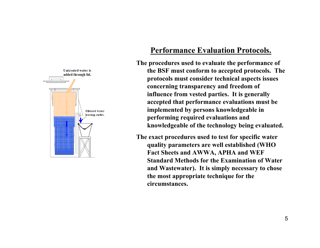

## **Performance Evaluation Protocols.**

**The procedures used to evaluate the performance of the BSF must conform to accepted protocols. The protocols must consider technical aspects issues concerning transparency and freedom of influence from vested parties. It is generally accepted that performance evaluations must be implemented by persons knowledgeable in performing required evaluations and knowledgeable of the technology being evaluated.**

**The exact procedures used to test for specific water quality parameters are well established (WHO Fact Sheets and AWWA, APHA and WEF Standard Methods for the Examination of Water and Wastewater). It is simply necessary to chose the most appropriate technique for the circumstances.**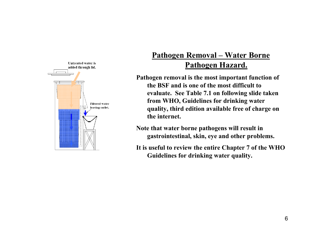

## **Pathogen Removal – Water Borne Pathogen Hazard.**

**Pathogen removal is the most important function of the BSF and is one of the most difficult to evaluate. See Table 7.1 on following slide taken from WHO, Guidelines for drinking water quality, third edition available free of charge on the internet.**

**Note that water borne pathogens will result in gastrointestinal, skin, eye and other problems.**

**It is useful to review the entire Chapter 7 of the WHO Guidelines for drinking water quality.**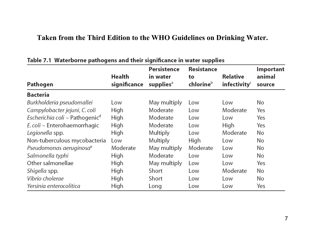#### **Taken from the Third Edition to the WHO Guidelines on Drinking Water.**

|                                            |               | Persistence           | Resistance |                          | Important |
|--------------------------------------------|---------------|-----------------------|------------|--------------------------|-----------|
|                                            | <b>Health</b> | in water              | to         | <b>Relative</b>          | animal    |
| Pathogen                                   | significance  | supplies <sup>a</sup> | chlorineb  | infectivity <sup>c</sup> | source    |
| <b>Bacteria</b>                            |               |                       |            |                          |           |
| Burkholderia pseudomallei                  | Low           | May multiply          | Low        | Low                      | No        |
| Campylobacter jejuni, C. coli              | High          | Moderate              | Low        | Moderate                 | Yes       |
| Escherichia coli – Pathogenic <sup>a</sup> | High          | Moderate              | Low        | Low                      | Yes       |
| E. coli - Enterohaemorrhagic               | High          | Moderate              | Low        | High                     | Yes       |
| Legionella spp.                            | High          | Multiply              | Low        | Moderate                 | No        |
| Non-tuberculous mycobacteria               | Low           | Multiply              | High       | Low                      | No        |
| Pseudomonas aeruginosa <sup>e</sup>        | Moderate      | May multiply          | Moderate   | Low                      | No        |
| Salmonella typhi                           | High          | Moderate              | Low        | Low                      | No        |
| Other salmonellae                          | High          | May multiply          | Low        | Low                      | Yes       |
| Shigella spp.                              | High          | Short                 | Low        | Moderate                 | No        |
| Vibrio cholerae                            | High          | Short                 | Low        | Low                      | No        |
| Yersinia enterocolitica                    | High          | Long                  | Low        | Low                      | Yes       |

#### Table 7.1 Waterborne pathogens and their significance in water supplies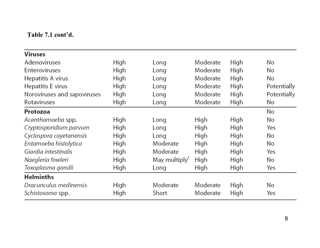#### **Table 7.1 cont'd.**

| <b>Viruses</b>              |      |                           |          |      |             |
|-----------------------------|------|---------------------------|----------|------|-------------|
| Adenoviruses                | High | Long                      | Moderate | High | No          |
| Enteroviruses               | High | Long                      | Moderate | High | No          |
| Hepatitis A virus           | High | Long                      | Moderate | High | No          |
| Hepatitis E virus           | High | Long                      | Moderate | High | Potentially |
| Noroviruses and sapoviruses | High | Long                      | Moderate | High | Potentially |
| Rotaviruses                 | High | Long                      | Moderate | High | No          |
| Protozoa                    |      |                           |          |      | No          |
| Acanthamoeba spp.           | High | Long                      | High     | High | No          |
| Cryptosporidium parvum      | High | Long                      | High     | High | Yes         |
| Cyclospora cayetanensis     | High | Long                      | High     | High | No          |
| Entamoeba histolytica       | High | Moderate                  | High     | High | No          |
| Giardia intestinalis        | High | Moderate                  | High     | High | Yes         |
| Naegleria fowleri           | High | May multiply <sup>t</sup> | High     | High | No          |
| Toxoplasma gondii           | High | Long                      | High     | High | Yes         |
| <b>Helminths</b>            |      |                           |          |      |             |
| Dracunculus medinensis      | High | Moderate                  | Moderate | High | No          |
| Schistosoma spp.            | High | Short                     | Moderate | High | Yes         |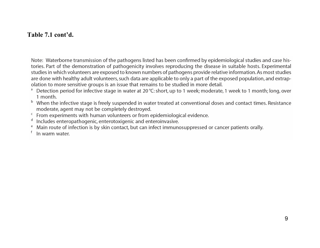#### **Table 7.1 cont'd.**

Note: Waterborne transmission of the pathogens listed has been confirmed by epidemiological studies and case histories. Part of the demonstration of pathogenicity involves reproducing the disease in suitable hosts. Experimental studies in which volunteers are exposed to known numbers of pathogens provide relative information. As most studies are done with healthy adult volunteers, such data are applicable to only a part of the exposed population, and extrapolation to more sensitive groups is an issue that remains to be studied in more detail.

- Detection period for infective stage in water at 20 °C: short, up to 1 week; moderate, 1 week to 1 month; long, over a 1 month.
- b When the infective stage is freely suspended in water treated at conventional doses and contact times. Resistance moderate, agent may not be completely destroyed.
- c From experiments with human volunteers or from epidemiological evidence.
- Includes enteropathogenic, enterotoxigenic and enteroinvasive.
- Main route of infection is by skin contact, but can infect immunosuppressed or cancer patients orally.
- f In warm water.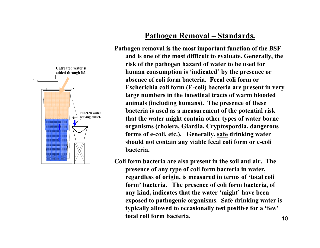

## **Pathogen Removal – Standards.**

**Pathogen removal is the most important function of the BSF and is one of the most difficult to evaluate. Generally, the risk of the pathogen hazard of water to be used for human consumption is 'indicated' by the presence or absence of coli form bacteria. Fecal coli form or Escherichia coli form (E-coli) bacteria are present in very large numbers in the intestinal tracts of warm blooded animals (including humans). The presence of these bacteria is used as a measurement of the potential risk that the water might contain other types of water borne organisms (cholera, Giardia, Cryptospordia, dangerous forms of e-coli, etc.). Generally, safe drinking water should not contain any viable fecal coli form or e-coli bacteria.**

**Coli form bacteria are also present in the soil and air. The presence of any type of coli form bacteria in water, regardless of origin, is measured in terms of 'total coli form' bacteria. The presence of coli form bacteria, of any kind, indicates that the water 'might' have been exposed to pathogenic organisms. Safe drinking water is typically allowed to occasionally test positive for a 'few' total coli form bacteria.**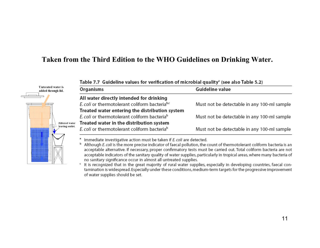#### **Taken from the Third Edition to the WHO Guidelines on Drinking Water.**



| Organisms                                      | Guideline value                             |
|------------------------------------------------|---------------------------------------------|
| All water directly intended for drinking       |                                             |
| E. coli or thermotolerant coliform bacteriab.c | Must not be detectable in any 100-ml sample |
| Treated water entering the distribution system |                                             |
| E. coli or thermotolerant coliform bacteriab   | Must not be detectable in any 100-ml sample |
| Treated water in the distribution system       |                                             |
| E. coli or thermotolerant coliform bacteriab   | Must not be detectable in any 100-ml sample |

Immediate investigative action must be taken if E. coli are detected.

Although E. coli is the more precise indicator of faecal pollution, the count of thermotolerant coliform bacteria is an ь acceptable alternative. If necessary, proper confirmatory tests must be carried out. Total coliform bacteria are not acceptable indicators of the sanitary quality of water supplies, particularly in tropical areas, where many bacteria of no sanitary significance occur in almost all untreated supplies.

It is recognized that in the great majority of rural water supplies, especially in developing countries, faecal conc tamination is widespread. Especially under these conditions, medium-term targets for the progressive improvement of water supplies should be set.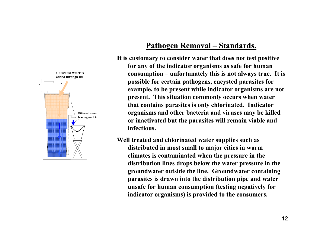

## **Pathogen Removal – Standards.**

- **It is customary to consider water that does not test positive for any of the indicator organisms as safe for human consumption – unfortunately this is not always true. It is possible for certain pathogens, encysted parasites for example, to be present while indicator organisms are not present. This situation commonly occurs when water that contains parasites is only chlorinated. Indicator organisms and other bacteria and viruses may be killed or inactivated but the parasites will remain viable and infectious.**
- **Well treated and chlorinated water supplies such as distributed in most small to major cities in warm climates is contaminated when the pressure in the distribution lines drops below the water pressure in the groundwater outside the line. Groundwater containing parasites is drawn into the distribution pipe and water unsafe for human consumption (testing negatively for indicator organisms) is provided to the consumers.**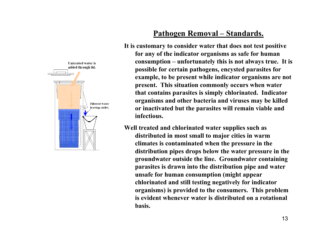

## **Pathogen Removal – Standards.**

**It is customary to consider water that does not test positive for any of the indicator organisms as safe for human consumption – unfortunately this is not always true. It is possible for certain pathogens, encysted parasites for example, to be present while indicator organisms are not present. This situation commonly occurs when water** 

**that contains parasites is simply chlorinated. Indicator organisms and other bacteria and viruses may be killed or inactivated but the parasites will remain viable and infectious.**

**Well treated and chlorinated water supplies such as distributed in most small to major cities in warm climates is contaminated when the pressure in the distribution pipes drops below the water pressure in the groundwater outside the line. Groundwater containing parasites is drawn into the distribution pipe and water unsafe for human consumption (might appear chlorinated and still testing negatively for indicator organisms) is provided to the consumers. This problem is evident whenever water is distributed on a rotational basis.**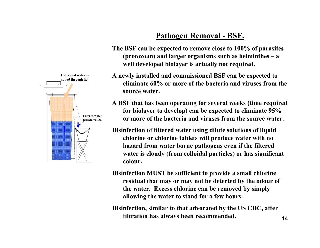## **Pathogen Removal - BSF.**

**The BSF can be expected to remove close to 100% of parasites (protozoan) and larger organisms such as helminthes – <sup>a</sup> well developed biolayer is actually not required.** 

**A newly installed and commissioned BSF can be expected to eliminate 60% or more of the bacteria and viruses from the source water.**

**A BSF that has been operating for several weeks (time required for biolayer to develop) can be expected to eliminate 95% or more of the bacteria and viruses from the source water.**

- **Disinfection of filtered water using dilute solutions of liquid chlorine or chlorine tablets will produce water with no hazard from water borne pathogens even if the filtered water is cloudy (from colloidal particles) or has significant colour.**
- **Disinfection MUST be sufficient to provide a small chlorine residual that may or may not be detected by the odour of the water. Excess chlorine can be removed by simply allowing the water to stand for a few hours.**

**Disinfection, similar to that advocated by the US CDC, after filtration has always been recommended.**

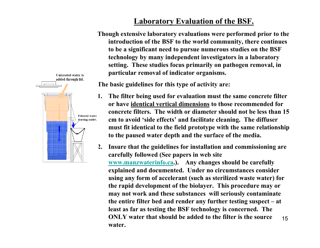## **Laboratory Evaluation of the BSF.**

**Though extensive laboratory evaluations were performed prior to the introduction of the BSF to the world community, there continues to be a significant need to pursue numerous studies on the BSF technology by many independent investigators in a laboratory setting. These studies focus primarily on pathogen removal, in particular removal of indicator organisms.**

**The basic guidelines for this type of activity are:**

- **1. The filter being used for evaluation must the same concrete filter or have identical vertical dimensions to those recommended for concrete filters. The width or diameter should not be less than 15 cm to avoid 'side effects' and facilitate cleaning. The diffuser must fit identical to the field prototype with the same relationship to the paused water depth and the surface of the media.**
- 15**2. Insure that the guidelines for installation and commissioning are carefully followed (See papers in web site www.manzwaterinfo.ca.). Any changes should be carefully explained and documented. Under no circumstances consider using any form of accelerant (such as sterilized waste water) for the rapid development of the biolayer. This procedure may or may not work and these substances will seriously contaminate the entire filter bed and render any further testing suspect – at least as far as testing the BSF technology is concerned. The ONLY water that should be added to the filter is the source water.**

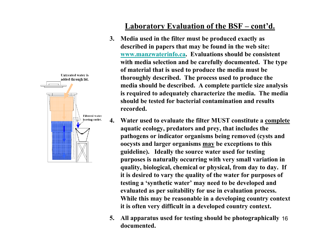

#### **Laboratory Evaluation of the BSF – cont'd.**

- **3. Media used in the filter must be produced exactly as described in papers that may be found in the web site: www.manzwaterinfo.ca. Evaluations should be consistent with media selection and be carefully documented. The type of material that is used to produce the media must be thoroughly described. The process used to produce the media should be described. A complete particle size analysis is required to adequately characterize the media. The media should be tested for bacterial contamination and results recorded.**
- **4. Water used to evaluate the filter MUST constitute a complete aquatic ecology, predators and prey, that includes the pathogens or indicator organisms being removed (cysts and oocysts and larger organisms may be exceptions to this guideline). Ideally the source water used for testing purposes is naturally occurring with very small variation in quality, biological, chemical or physical, from day to day. If it is desired to vary the quality of the water for purposes of testing a 'synthetic water' may need to be developed and evaluated as per suitability for use in evaluation process. While this may be reasonable in a developing country context it is often very difficult in a developed country context.**
- 16**5. All apparatus used for testing should be photographically documented.**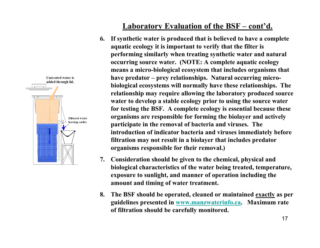

## **Laboratory Evaluation of the BSF – cont'd.**

- **6. If synthetic water is produced that is believed to have a complete aquatic ecology it is important to verify that the filter is performing similarly when treating synthetic water and natural occurring source water. (NOTE: A complete aquatic ecology means a micro-biological ecosystem that includes organisms that have predator – prey relationships. Natural occurring microbiological ecosystems will normally have these relationships. The relationship may require allowing the laboratory produced source water to develop a stable ecology prior to using the source water for testing the BSF. A complete ecology is essential because these organisms are responsible for forming the biolayer and actively participate in the removal of bacteria and viruses. The introduction of indicator bacteria and viruses immediately before filtration may not result in a biolayer that includes predator organisms responsible for their removal.)**
- **7. Consideration should be given to the chemical, physical and biological characteristics of the water being treated, temperature, exposure to sunlight, and manner of operation including the amount and timing of water treatment.**
- **8. The BSF should be operated, cleaned or maintained exactly as per guidelines presented in www.manzwaterinfo.ca. Maximum rate of filtration should be carefully monitored.**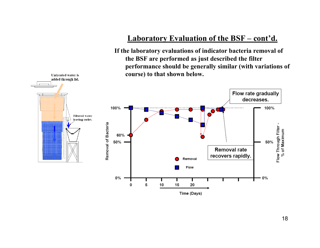## Laboratory Evaluation of the BSF – cont'd.

**If the laboratory evaluations of indicator bacteria removal of the BSF are performed as just described the filter performance should be generally similar (with variations of course) to that shown below.**



**Untreated water is**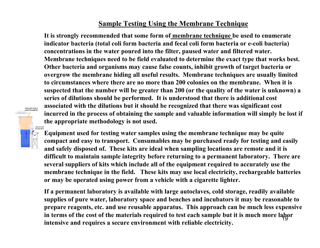#### **Sample Testing Using the Membrane Technique**

**It is strongly recommended that some form of membrane technique be used to enumerate indicator bacteria (total coli form bacteria and fecal coli form bacteria or e-coli bacteria) concentrations in the water poured into the filter, paused water and filtered water. Membrane techniques need to be field evaluated to determine the exact type that works best. Other bacteria and organisms may cause false counts, inhibit growth of target bacteria or overgrow the membrane hiding all useful results. Membrane techniques are usually limited to circumstances where there are no more than 200 colonies on the membrane. When it is suspected that the number will be greater than 200 (or the quality of the water is unknown) a series of dilutions should be performed. It is understood that there is additional cost associated with the dilutions but it should be recognized that there was significant cost incurred in the process of obtaining the sample and valuable information will simply be lost if the appropriate methodology is not used.** 



**Untreated water is** added through li-

> **Equipment used for testing water samples using the membrane technique may be quite compact and easy to transport. Consumables may be purchased ready for testing and easily and safely disposed of. These kits are ideal when sampling locations are remote and it is difficult to maintain sample integrity before returning to a permanent laboratory. There are several suppliers of kits which include all of the equipment required to accurately use the membrane technique in the field. These kits may use local electricity, rechargeable batteries or may be operated using power from a vehicle with a cigarette lighter.**

> 19**in terms of the cost of the materials required to test each sample but it is much more labor If a permanent laboratory is available with large autoclaves, cold storage, readily available supplies of pure water, laboratory space and benches and incubators it may be reasonable to prepare reagents, etc. and use reusable apparatus. This approach can be much less expensive intensive and requires a secure environment with reliable electricity.**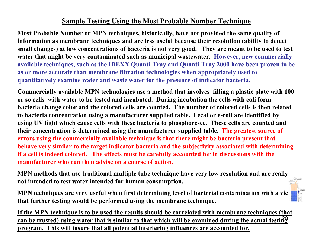#### **Sample Testing Using the Most Probable Number Technique**

**Most Probable Number or MPN techniques, historically, have not provided the same quality of information as membrane techniques and are less useful because their resolution (ability to detect small changes) at low concentrations of bacteria is not very good. They are meant to be used to test water that might be very contaminated such as municipal wastewater. However, new commercially available techniques, such as the IDEXX Quanti-Tray and Quanti-Tray 2000 have been proven to be as or more accurate than membrane filtration technologies when appropriately used to quantitatively examine water and waste water for the presence of indicator bacteria.**

**Commercially available MPN technologies use a method that involves filling a plastic plate with 100 or so cells with water to be tested and incubated. During incubation the cells with coli form bacteria change color and the colored cells are counted. The number of colored cells is then related to bacteria concentration using a manufacturer supplied table. Fecal or e-coli are identified by using UV light which cause cells with these bacteria to phosphoresce. These cells are counted and their concentration is determined using the manufacturer supplied table. The greatest source of errors using the commercially available technique is that there might be bacteria present that behave very similar to the target indicator bacteria and the subjectivity associated with determining if a cell is indeed colored. The effects must be carefully accounted for in discussions with the manufacturer who can then advise on a course of action.** 

**MPN methods that use traditional multiple tube technique have very low resolution and are really not intended to test water intended for human consumption.**

**MPN techniques are very useful when first determining level of bacterial contamination with a view**  $\frac{1}{\sqrt{2}}$ **that further testing would be performed using the membrane technique.**

can be trusted) using water that is similar to that which will be examined during the actual testing **If the MPN technique is to be used the results should be correlated with membrane techniques (that program. This will insure that all potential interfering influences are accounted for.**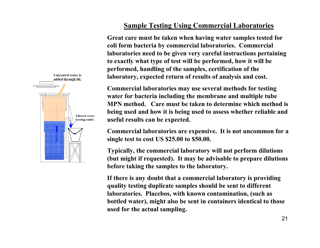

**Great care must be taken when having water samples tested for coli form bacteria by commercial laboratories. Commercial laboratories need to be given very careful instructions pertaining to exactly what type of test will be performed, how it will be performed, handling of the samples, certification of the laboratory, expected return of results of analysis and cost.**

**Commercial laboratories may use several methods for testing water for bacteria including the membrane and multiple tube MPN method. Care must be taken to determine which method is being used and how it is being used to assess whether reliable and useful results can be expected.**

**Commercial laboratories are expensive. It is not uncommon for a single test to cost US \$25.00 to \$50.00.**

**Typically, the commercial laboratory will not perform dilutions (but might if requested). It may be advisable to prepare dilutions before taking the samples to the laboratory.** 

**If there is any doubt that a commercial laboratory is providing quality testing duplicate samples should be sent to different laboratories. Placebos, with known contamination, (such as bottled water), might also be sent in containers identical to those used for the actual sampling.** 

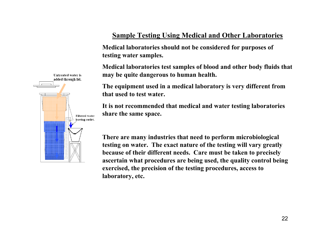#### **Sample Testing Using Medical and Other Laboratories**

**Medical laboratories should not be considered for purposes of testing water samples.**

**Medical laboratories test samples of blood and other body fluids that may be quite dangerous to human health.**

**The equipment used in a medical laboratory is very different from that used to test water.**

**It is not recommended that medical and water testing laboratories share the same space.**

**There are many industries that need to perform microbiological testing on water. The exact nature of the testing will vary greatly because of their different needs. Care must be taken to precisely ascertain what procedures are being used, the quality control being exercised, the precision of the testing procedures, access to laboratory, etc.**

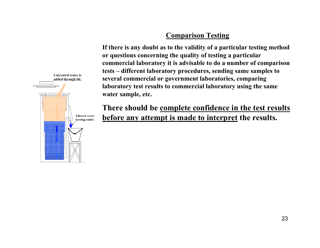#### **Comparison Testing**

**If there is any doubt as to the validity of a particular testing method or questions concerning the quality of testing a particular commercial laboratory it is advisable to do a number of comparison tests – different laboratory procedures, sending same samples to several commercial or government laboratories, comparing laboratory test results to commercial laboratory using the same water sample, etc.**

## **There should be complete confidence in the test results before any attempt is made to interpret the results.**

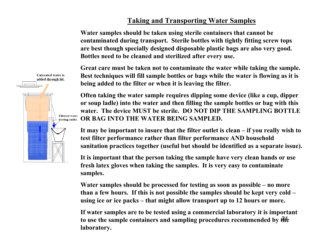#### **Taking and Transporting Water Samples**

**Water samples should be taken using sterile containers that cannot be contaminated during transport. Sterile bottles with tightly fitting screw tops are best though specially designed disposable plastic bags are also very good. Bottles need to be cleaned and sterilized after every use.**

**Great care must be taken not to contaminate the water while taking the sample. Best techniques will fill sample bottles or bags while the water is flowing as it is being added to the filter or when it is leaving the filter.** 

**Often taking the water sample requires dipping some device (like a cup, dipper or soup ladle) into the water and then filling the sample bottles or bag with this water. The device MUST be sterile. DO NOT DIP THE SAMPLING BOTTLE OR BAG INTO THE WATER BEING SAMPLED.**

**It may be important to insure that the filter outlet is clean – if you really wish to test filter performance rather than filter performance AND household sanitation practices together (useful but should be identified as a separate issue).** 

**It is important that the person taking the sample have very clean hands or use fresh latex gloves when taking the samples. It is very easy to contaminate samples.**

**Water samples should be processed for testing as soon as possible – no more than a few hours. If this is not possible the samples should be kept very cold – using ice or ice packs – that might allow transport up to 12 hours or more.**

24 **to use the sample containers and sampling procedures recommended by the If water samples are to be tested using a commercial laboratory it is important laboratory.**

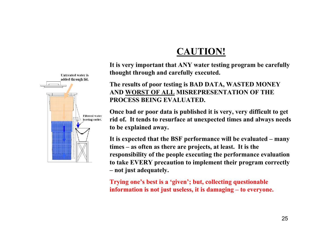

## **CAUTION!**

**It is very important that ANY water testing program be carefully thought through and carefully executed.**

#### **The results of poor testing is BAD DATA, WASTED MONEY AND WORST OF ALL MISREPRESENTATION OF THE PROCESS BEING EVALUATED.**

**Once bad or poor data is published it is very, very difficult to get rid of. It tends to resurface at unexpected times and always needs to be explained away.**

**It is expected that the BSF performance will be evaluated – many times – as often as there are projects, at least. It is the responsibility of the people executing the performance evaluation to take EVERY precaution to implement their program correctly – not just adequately.** 

**Trying one's best is a 'given'; but, collecting questionable information is not just useless, it is damaging – to everyone.**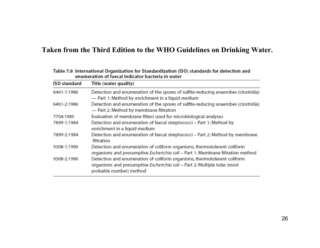#### **Taken from the Third Edition to the WHO Guidelines on Drinking Water.**

| <b>ISO</b> standard | Title (water quality)                                                                                                                                                           |
|---------------------|---------------------------------------------------------------------------------------------------------------------------------------------------------------------------------|
| 6461-1:1986         | Detection and enumeration of the spores of sulfite-reducing anaerobes (clostridia)<br>- Part 1: Method by enrichment in a liquid medium                                         |
| 6461-2:1986         | Detection and enumeration of the spores of sulfite-reducing anaerobes (clostridia)<br>— Part 2: Method by membrane filtration                                                   |
| 7704:1985           | Evaluation of membrane filters used for microbiological analyses                                                                                                                |
| 7899-1:1984         | Detection and enumeration of faecal streptococci - Part 1: Method by<br>enrichment in a liquid medium                                                                           |
| 7899-2:1984         | Detection and enumeration of faecal streptococci - Part 2: Method by membrane<br>filtration                                                                                     |
| 9308-1:1990         | Detection and enumeration of coliform organisms, thermotolerant coliform<br>organisms and presumptive Escherichia coli - Part 1: Membrane filtration method                     |
| 9308-2:1990         | Detection and enumeration of coliform organisms, thermotolerant coliform<br>organisms and presumptive Escherichia coli - Part 2: Multiple tube (most<br>probable number) method |

#### Table 7.8 International Organization for Standardization (ISO) standards for detection and enumeration of faecal indicator bacteria in water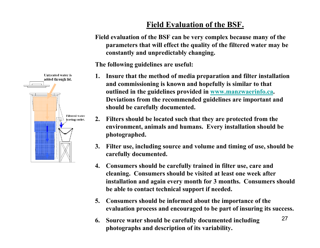## **Field Evaluation of the BSF.**

**Field evaluation of the BSF can be very complex because many of the parameters that will effect the quality of the filtered water may be constantly and unpredictably changing.**

**The following guidelines are useful:**

- Untreated water is added through lid. **Filtered water** leaving outlet.
	- **1. Insure that the method of media preparation and filter installation and commissioning is known and hopefully is similar to that outlined in the guidelines provided in www.manzwaerinfo.ca. Deviations from the recommended guidelines are important and should be carefully documented.**
	- **2. Filters should be located such that they are protected from the environment, animals and humans. Every installation should be photographed.**
	- **3. Filter use, including source and volume and timing of use, should be carefully documented.**
	- **4. Consumers should be carefully trained in filter use, care and cleaning. Consumers should be visited at least one week after installation and again every month for 3 months. Consumers should be able to contact technical support if needed.**
	- **5. Consumers should be informed about the importance of the evaluation process and encouraged to be part of insuring its success.**

27

**6. Source water should be carefully documented including photographs and description of its variability.**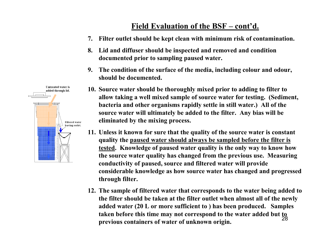## **Field Evaluation of the BSF – cont'd.**

- **7. Filter outlet should be kept clean with minimum risk of contamination.**
- **8. Lid and diffuser should be inspected and removed and condition documented prior to sampling paused water.**
- **9. The condition of the surface of the media, including colour and odour, should be documented.**
- **10. Source water should be thoroughly mixed prior to adding to filter to allow taking a well mixed sample of source water for testing. (Sediment, bacteria and other organisms rapidly settle in still water.) All of the source water will ultimately be added to the filter. Any bias will be eliminated by the mixing process.**
- **11. Unless it known for sure that the quality of the source water is constant quality the paused water should always be sampled before the filter is tested. Knowledge of paused water quality is the only way to know how the source water quality has changed from the previous use. Measuring conductivity of paused, source and filtered water will provide considerable knowledge as how source water has changed and progressed through filter.**
- 28**taken before this time may not correspond to the water added but to 12. The sample of filtered water that corresponds to the water being added to the filter should be taken at the filter outlet when almost all of the newly added water (20 L or more sufficient to ) has been produced. Samples previous containers of water of unknown origin.**

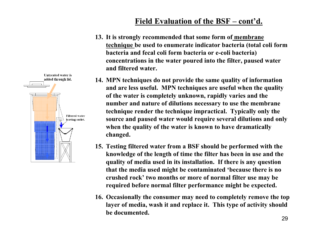# Untreated water is added through lid. **Filtered water** leaving outlet.

## **Field Evaluation of the BSF – cont'd.**

- **13. It is strongly recommended that some form of membrane technique be used to enumerate indicator bacteria (total coli form bacteria and fecal coli form bacteria or e-coli bacteria) concentrations in the water poured into the filter, paused water and filtered water.**
- **14. MPN techniques do not provide the same quality of information and are less useful. MPN techniques are useful when the quality of the water is completely unknown, rapidly varies and the number and nature of dilutions necessary to use the membrane technique render the technique impractical. Typically only the source and paused water would require several dilutions and only when the quality of the water is known to have dramatically changed.**
- **15. Testing filtered water from a BSF should be performed with the knowledge of the length of time the filter has been in use and the quality of media used in its installation. If there is any question that the media used might be contaminated 'because there is no crushed rock' two months or more of normal filter use may be required before normal filter performance might be expected.**
- **16. Occasionally the consumer may need to completely remove the top layer of media, wash it and replace it. This type of activity should be documented.**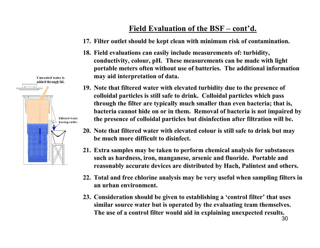## **Field Evaluation of the BSF – cont'd.**

- **17. Filter outlet should be kept clean with minimum risk of contamination.**
- **18. Field evaluations can easily include measurements of: turbidity, conductivity, colour, pH. These measurements can be made with light portable meters often without use of batteries. The additional information may aid interpretation of data.**
- **19. Note that filtered water with elevated turbidity due to the presence of colloidal particles is still safe to drink. Colloidal particles which pass through the filter are typically much smaller than even bacteria; that is, bacteria cannot hide on or in them. Removal of bacteria is not impaired by the presence of colloidal particles but disinfection after filtration will be.**
- **20. Note that filtered water with elevated colour is still safe to drink but may be much more difficult to disinfect.**
- **21. Extra samples may be taken to perform chemical analysis for substances such as hardness, iron, manganese, arsenic and fluoride. Portable and reasonably accurate devices are distributed by Hach, Palintest and others.**
- **22. Total and free chlorine analysis may be very useful when sampling filters in an urban environment.**
- **23. Consideration should be given to establishing a 'control filter' that uses similar source water but is operated by the evaluating team themselves. The use of a control filter would aid in explaining unexpected results.**

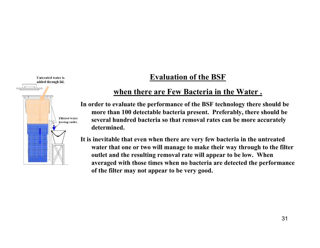

## **Evaluation of the BSF**

## **when there are Few Bacteria in the Water .**

**In order to evaluate the performance of the BSF technology there should be more than 100 detectable bacteria present. Preferably, there should be several hundred bacteria so that removal rates can be more accurately determined.** 

**It is inevitable that even when there are very few bacteria in the untreated water that one or two will manage to make their way through to the filter outlet and the resulting removal rate will appear to be low. When averaged with those times when no bacteria are detected the performance of the filter may not appear to be very good.**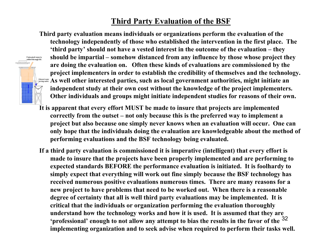### **Third Party Evaluation of the BSF**

**Untreated water is** added through lic

**Third party evaluation means individuals or organizations perform the evaluation of the technology independently of those who established the intervention in the first place. The 'third party' should not have a vested interest in the outcome of the evaluation – they should be impartial – somehow distanced from any influence by those whose project they are doing the evaluation on. Often these kinds of evaluations are commissioned by the project implementers in order to establish the credibility of themselves and the technology. As well other interested parties, such as local government authorities, might initiate an independent study at their own cost without the knowledge of the project implementers. Other individuals and groups might initiate independent studies for reasons of their own.**

- **It is apparent that every effort MUST be made to insure that projects are implemented correctly from the outset – not only because this is the preferred way to implement a project but also because one simply never knows when an evaluation will occur. One can only hope that the individuals doing the evaluation are knowledgeable about the method of performing evaluations and the BSF technology being evaluated.**
- 32 **'professional' enough to not allow any attempt to bias the results in the favor of the If a third party evaluation is commissioned it is imperative (intelligent) that every effort is made to insure that the projects have been properly implemented and are performing to expected standards BEFORE the performance evaluation is initiated. It is foolhardy to simply expect that everything will work out fine simply because the BSF technology has received numerous positive evaluations numerous times. There are many reasons for a new project to have problems that need to be worked out. When there is a reasonable degree of certainty that all is well third party evaluations may be implemented. It is critical that the individuals or organization performing the evaluation thoroughly understand how the technology works and how it is used. It is assumed that they are implementing organization and to seek advise when required to perform their tasks well.**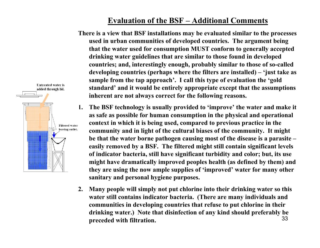

**There is a view that BSF installations may be evaluated similar to the processes used in urban communities of developed countries. The argument being that the water used for consumption MUST conform to generally accepted drinking water guidelines that are similar to those found in developed countries; and, interestingly enough, probably similar to those of so-called developing countries (perhaps where the filters are installed) – 'just take as sample from the tap approach'. I call this type of evaluation the 'gold standard' and it would be entirely appropriate except that the assumptions inherent are not always correct for the following reasons.**

- **1. The BSF technology is usually provided to 'improve' the water and make it as safe as possible for human consumption in the physical and operational context in which it is being used, compared to previous practice in the community and in light of the cultural biases of the community. It might be that the water borne pathogen causing most of the disease is a parasite – easily removed by a BSF. The filtered might still contain significant levels of indicator bacteria, still have significant turbidity and color; but, its use might have dramatically improved peoples health (as defined by them) and they are using the now ample supplies of 'improved' water for many other sanitary and personal hygiene purposes.**
- 33**2. Many people will simply not put chlorine into their drinking water so this water still contains indicator bacteria. (There are many individuals and communities in developing countries that refuse to put chlorine in their drinking water.) Note that disinfection of any kind should preferably be preceded with filtration.**

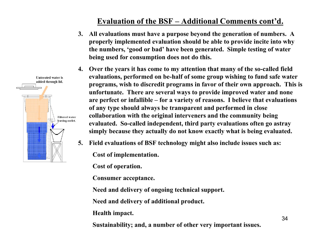## **Evaluation of the BSF – Additional Comments cont'd.**

- **3. All evaluations must have a purpose beyond the generation of numbers. A properly implemented evaluation should be able to provide incite into why the numbers, 'good or bad' have been generated. Simple testing of water being used for consumption does not do this.**
- **4. Over the years it has come to my attention that many of the so-called field evaluations, performed on be-half of some group wishing to fund safe water programs, wish to discredit programs in favor of their own approach. This is unfortunate. There are several ways to provide improved water and none are perfect or infallible – for a variety of reasons. I believe that evaluations of any type should always be transparent and performed in close collaboration with the original interveners and the community being evaluated. So-called independent, third party evaluations often go astray simply because they actually do not know exactly what is being evaluated.**
- **5. Field evaluations of BSF technology might also include issues such as:**

**Cost of implementation.**

**Cost of operation.**

**Consumer acceptance.**

**Need and delivery of ongoing technical support.**

**Need and delivery of additional product.**

**Health impact.**

**Sustainability; and, a number of other very important issues.**

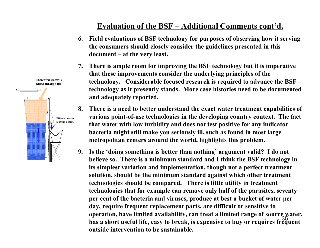

- **6. Field evaluations of BSF technology for purposes of observing how it serving the consumers should closely consider the guidelines presented in this document – at the very least.**
- **7. There is ample room for improving the BSF technology but it is imperative that these improvements consider the underlying principles of the technology. Considerable focused research is required to advance the BSF technology as it presently stands. More case histories need to be documented and adequately reported.**
- **8. There is a need to better understand the exact water treatment capabilities of various point-of-use technologies in the developing country context. The fact that water with low turbidity and does not test positive for any indicator bacteria might still make you seriously ill, such as found in most large metropolitan centers around the world, highlights this problem.**
- 35 **has a short useful life, easy to break, is expensive to buy or requires frequent 9. Is the 'doing something is better than nothing' argument valid? I do not believe so. There is a minimum standard and I think the BSF technology in its simplest variation and implementation, though not a perfect treatment solution, should be the minimum standard against which other treatment technologies should be compared. There is little utility in treatment technologies that for example can remove only half of the parasites, seventy per cent of the bacteria and viruses, produce at best a bucket of water per day, require frequent replacement parts, are difficult or sensitive to operation, have limited availability, can treat a limited range of source water, outside intervention to be sustainable.**